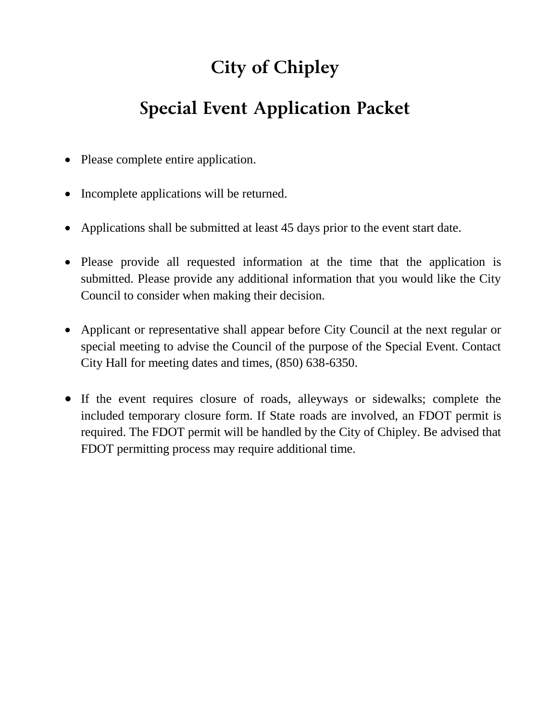# **City of Chipley**

## **Special Event Application Packet**

- Please complete entire application.
- Incomplete applications will be returned.
- Applications shall be submitted at least 45 days prior to the event start date.
- Please provide all requested information at the time that the application is submitted. Please provide any additional information that you would like the City Council to consider when making their decision.
- Applicant or representative shall appear before City Council at the next regular or special meeting to advise the Council of the purpose of the Special Event. Contact City Hall for meeting dates and times, (850) 638-6350.
- If the event requires closure of roads, alleyways or sidewalks; complete the included temporary closure form. If State roads are involved, an FDOT permit is required. The FDOT permit will be handled by the City of Chipley. Be advised that FDOT permitting process may require additional time.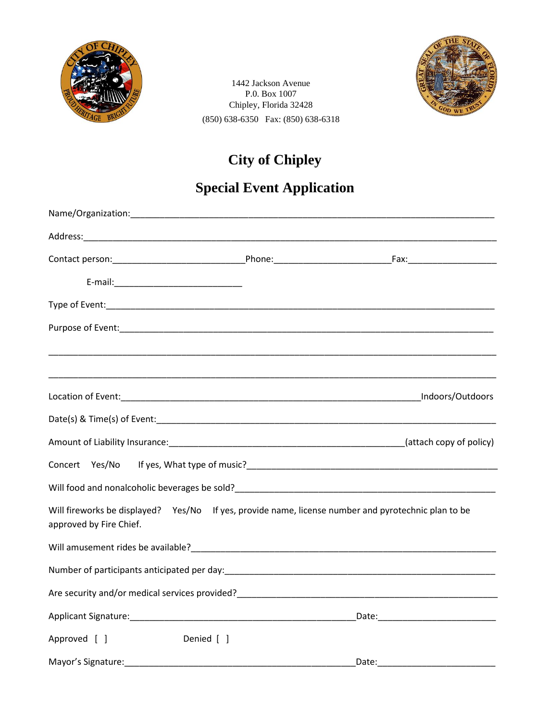

1442 Jackson Avenue P.0. Box 1007 Chipley, Florida 32428 (850) 638-6350 Fax: (850) 638-6318



#### **City of Chipley**

### **Special Event Application**

|                                                                                                                                                                                                                                |            | Indoors/Outdoors                                                                                                |
|--------------------------------------------------------------------------------------------------------------------------------------------------------------------------------------------------------------------------------|------------|-----------------------------------------------------------------------------------------------------------------|
|                                                                                                                                                                                                                                |            |                                                                                                                 |
|                                                                                                                                                                                                                                |            | Amount of Liability Insurance: 1990 Contains the Control of Amount of Liability Insurance: 1991 Contains the Co |
|                                                                                                                                                                                                                                |            |                                                                                                                 |
|                                                                                                                                                                                                                                |            |                                                                                                                 |
| Will fireworks be displayed? Yes/No If yes, provide name, license number and pyrotechnic plan to be<br>approved by Fire Chief.                                                                                                 |            |                                                                                                                 |
| Will amusement rides be available? Department of the control of the control of the control of the control of the control of the control of the control of the control of the control of the control of the control of the cont |            |                                                                                                                 |
| Number of participants anticipated per day:<br>Number of participants anticipated per day:                                                                                                                                     |            |                                                                                                                 |
|                                                                                                                                                                                                                                |            |                                                                                                                 |
|                                                                                                                                                                                                                                |            |                                                                                                                 |
| Approved [ ]                                                                                                                                                                                                                   | Denied [ ] |                                                                                                                 |
| Mayor's Signature:                                                                                                                                                                                                             |            | Date:                                                                                                           |